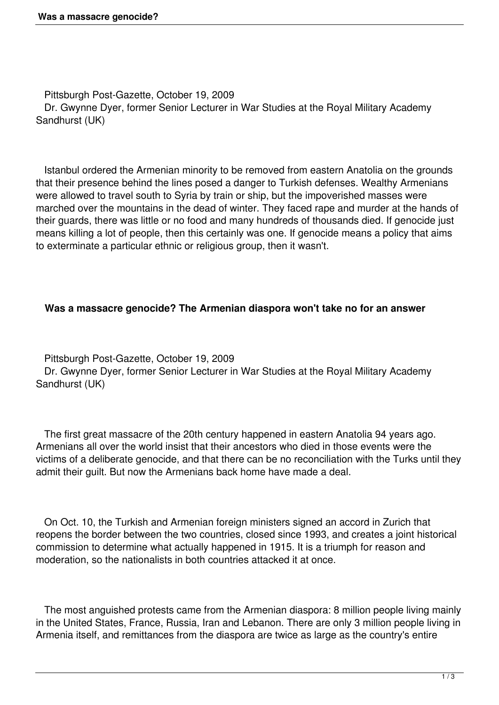Pittsburgh Post-Gazette, October 19, 2009 Dr. Gwynne Dyer, former Senior Lecturer in War Studies at the Royal Military Academy Sandhurst (UK)

 Istanbul ordered the Armenian minority to be removed from eastern Anatolia on the grounds that their presence behind the lines posed a danger to Turkish defenses. Wealthy Armenians were allowed to travel south to Syria by train or ship, but the impoverished masses were marched over the mountains in the dead of winter. They faced rape and murder at the hands of their guards, there was little or no food and many hundreds of thousands died. If genocide just means killing a lot of people, then this certainly was one. If genocide means a policy that aims to exterminate a particular ethnic or religious group, then it wasn't.

## **Was a massacre genocide? The Armenian diaspora won't take no for an answer**

 Pittsburgh Post-Gazette, October 19, 2009 Dr. Gwynne Dyer, former Senior Lecturer in War Studies at the Royal Military Academy Sandhurst (UK)

 The first great massacre of the 20th century happened in eastern Anatolia 94 years ago. Armenians all over the world insist that their ancestors who died in those events were the victims of a deliberate genocide, and that there can be no reconciliation with the Turks until they admit their guilt. But now the Armenians back home have made a deal.

 On Oct. 10, the Turkish and Armenian foreign ministers signed an accord in Zurich that reopens the border between the two countries, closed since 1993, and creates a joint historical commission to determine what actually happened in 1915. It is a triumph for reason and moderation, so the nationalists in both countries attacked it at once.

 The most anguished protests came from the Armenian diaspora: 8 million people living mainly in the United States, France, Russia, Iran and Lebanon. There are only 3 million people living in Armenia itself, and remittances from the diaspora are twice as large as the country's entire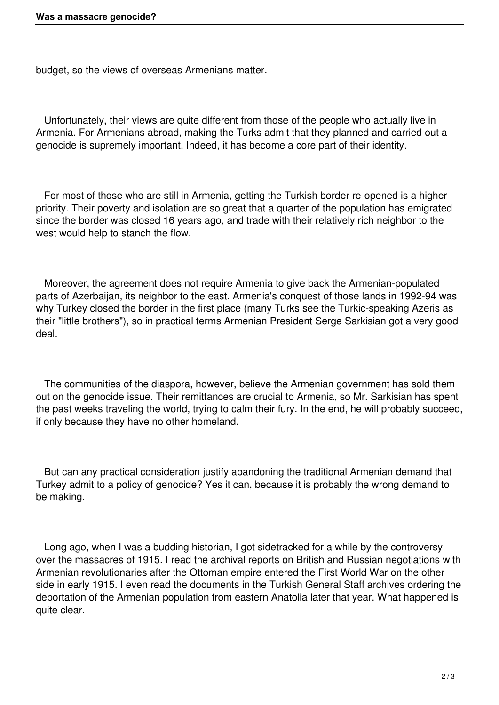budget, so the views of overseas Armenians matter.

 Unfortunately, their views are quite different from those of the people who actually live in Armenia. For Armenians abroad, making the Turks admit that they planned and carried out a genocide is supremely important. Indeed, it has become a core part of their identity.

 For most of those who are still in Armenia, getting the Turkish border re-opened is a higher priority. Their poverty and isolation are so great that a quarter of the population has emigrated since the border was closed 16 years ago, and trade with their relatively rich neighbor to the west would help to stanch the flow.

 Moreover, the agreement does not require Armenia to give back the Armenian-populated parts of Azerbaijan, its neighbor to the east. Armenia's conquest of those lands in 1992-94 was why Turkey closed the border in the first place (many Turks see the Turkic-speaking Azeris as their "little brothers"), so in practical terms Armenian President Serge Sarkisian got a very good deal.

 The communities of the diaspora, however, believe the Armenian government has sold them out on the genocide issue. Their remittances are crucial to Armenia, so Mr. Sarkisian has spent the past weeks traveling the world, trying to calm their fury. In the end, he will probably succeed, if only because they have no other homeland.

 But can any practical consideration justify abandoning the traditional Armenian demand that Turkey admit to a policy of genocide? Yes it can, because it is probably the wrong demand to be making.

 Long ago, when I was a budding historian, I got sidetracked for a while by the controversy over the massacres of 1915. I read the archival reports on British and Russian negotiations with Armenian revolutionaries after the Ottoman empire entered the First World War on the other side in early 1915. I even read the documents in the Turkish General Staff archives ordering the deportation of the Armenian population from eastern Anatolia later that year. What happened is quite clear.